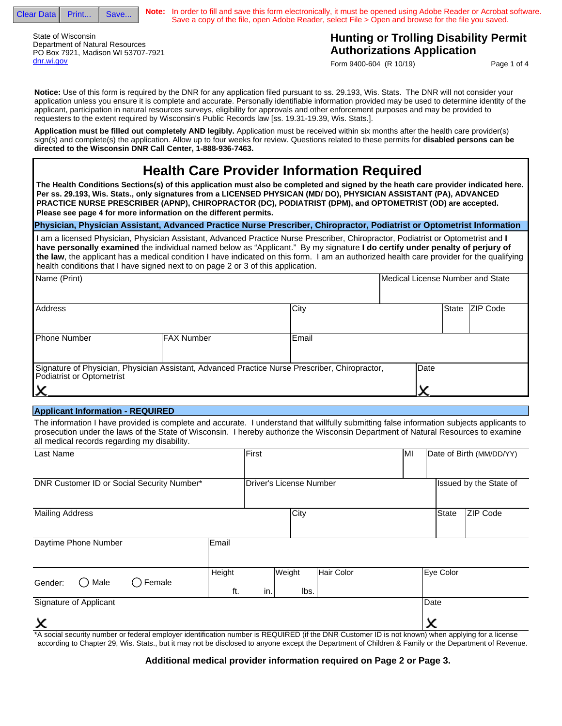

**Note:** In order to fill and save this form electronically, it must be opened using Adobe Reader or Acrobat software. Save a copy of the file, open Adobe Reader, select File > Open and browse for the file you saved.

State of Wisconsin Department of Natural Resources PO Box 7921, Madison WI 53707-7921 dnr.wi.gov

## **Hunting or Trolling Disability Permit Authorizations Application**

Form 9400-604 (R 10/19)

Page 1 of 4

**Notice:** Use of this form is required by the DNR for any application filed pursuant to ss. 29.193, Wis. Stats. The DNR will not consider your application unless you ensure it is complete and accurate. Personally identifiable information provided may be used to determine identity of the applicant, participation in natural resources surveys, eligibility for approvals and other enforcement purposes and may be provided to requesters to the extent required by Wisconsin's Public Records law [ss. 19.31-19.39, Wis. Stats.].

 **Application must be filled out completely AND legibly.** Application must be received within six months after the health care provider(s) sign(s) and complete(s) the application. Allow up to four weeks for review. Questions related to these permits for **disabled persons can be directed to the Wisconsin DNR Call Center, 1-888-936-7463.**

# **Health Care Provider Information Required**

**The Health Conditions Sections(s) of this application must also be completed and signed by the heath care provider indicated here. Per ss. 29.193, Wis. Stats., only signatures from a LICENSED PHYSICAN (MD/ DO), PHYSICIAN ASSISTANT (PA), ADVANCED PRACTICE NURSE PRESCRIBER (APNP), CHIROPRACTOR (DC), PODIATRIST (DPM), and OPTOMETRIST (OD) are accepted. Please see page 4 for more information on the different permits.**

**Physician, Physician Assistant, Advanced Practice Nurse Prescriber, Chiropractor, Podiatrist or Optometrist Information**

I am a licensed Physician, Physician Assistant, Advanced Practice Nurse Prescriber, Chiropractor, Podiatrist or Optometrist and **I have personally examined** the individual named below as "Applicant." By my signature **I do certify under penalty of perjury of the law**, the applicant has a medical condition I have indicated on this form. I am an authorized health care provider for the qualifying health conditions that I have signed next to on page 2 or 3 of this application.

| Name (Print)                                                                                                                |                    |       | Medical License Number and State |              |                  |
|-----------------------------------------------------------------------------------------------------------------------------|--------------------|-------|----------------------------------|--------------|------------------|
| Address                                                                                                                     |                    | City  |                                  | <b>State</b> | <b>IZIP Code</b> |
| <b>Phone Number</b>                                                                                                         | <b>IFAX Number</b> | Email |                                  |              |                  |
| Signature of Physician, Physician Assistant, Advanced Practice Nurse Prescriber, Chiropractor,<br>Podiatrist or Optometrist | Date               |       |                                  |              |                  |

#### **Applicant Information - REQUIRED**

The information I have provided is complete and accurate. I understand that willfully submitting false information subjects applicants to prosecution under the laws of the State of Wisconsin. I hereby authorize the Wisconsin Department of Natural Resources to examine all medical records regarding my disability.

| Last Name                                  |               | First                   |                |            | MI                                                 |           | Date of Birth (MM/DD/YY) |
|--------------------------------------------|---------------|-------------------------|----------------|------------|----------------------------------------------------|-----------|--------------------------|
| DNR Customer ID or Social Security Number* |               | Driver's License Number |                |            | Issued by the State of<br>$\overline{\phantom{0}}$ |           |                          |
| <b>Mailing Address</b>                     |               |                         | City           |            |                                                    | State     | ZIP Code                 |
| Daytime Phone Number                       | Email         |                         |                |            |                                                    |           |                          |
| Female<br>Male<br>Gender:                  | Height<br>ft. | in.                     | Weight<br>lbs. | Hair Color |                                                    | Eye Color |                          |
| Signature of Applicant                     |               |                         |                |            |                                                    | Date      |                          |
| X                                          |               |                         |                |            |                                                    |           |                          |

\*A social security number or federal employer identification number is REQUIRED (if the DNR Customer ID is not known) when applying for a license according to Chapter 29, Wis. Stats., but it may not be disclosed to anyone except the Department of Children & Family or the Department of Revenue.

### **Additional medical provider information required on Page 2 or Page 3.**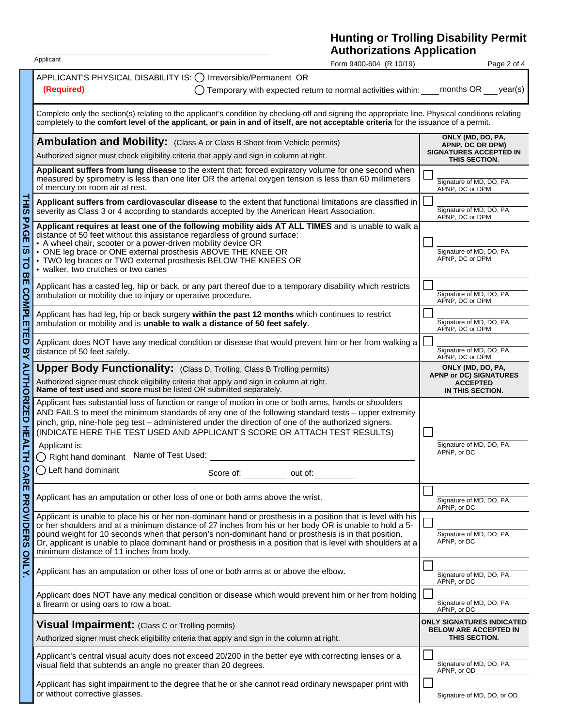### **Hunting or Trolling Disability Permit Authorizations Application**

|                                                         | Applicant<br>Form 9400-604 (R 10/19)                                                                                                                                                                                                                                                                                                                                                                                                                                                      |                                                                                         | Page 2 of 4                                                                               |  |  |  |
|---------------------------------------------------------|-------------------------------------------------------------------------------------------------------------------------------------------------------------------------------------------------------------------------------------------------------------------------------------------------------------------------------------------------------------------------------------------------------------------------------------------------------------------------------------------|-----------------------------------------------------------------------------------------|-------------------------------------------------------------------------------------------|--|--|--|
|                                                         | APPLICANT'S PHYSICAL DISABILITY IS: () Irreversible/Permanent OR<br>(Required)<br>Temporary with expected return to normal activities within:                                                                                                                                                                                                                                                                                                                                             |                                                                                         | months OR<br>year(s)                                                                      |  |  |  |
|                                                         | Complete only the section(s) relating to the applicant's condition by checking-off and signing the appropriate line. Physical conditions relating<br>completely to the comfort level of the applicant, or pain in and of itself, are not acceptable criteria for the issuance of a permit.                                                                                                                                                                                                |                                                                                         |                                                                                           |  |  |  |
|                                                         | <b>Ambulation and Mobility:</b> (Class A or Class B Shoot from Vehicle permits)<br>Authorized signer must check eligibility criteria that apply and sign in column at right.                                                                                                                                                                                                                                                                                                              | ONLY (MD, DO, PA,<br>APNP, DC OR DPM)<br><b>SIGNATURES ACCEPTED IN</b><br>THIS SECTION. |                                                                                           |  |  |  |
|                                                         | Applicant suffers from lung disease to the extent that: forced expiratory volume for one second when<br>measured by spirometry is less than one liter OR the arterial oxygen tension is less than 60 millimeters<br>of mercury on room air at rest.                                                                                                                                                                                                                                       |                                                                                         | Signature of MD, DO, PA,<br>APNP, DC or DPM                                               |  |  |  |
| <b>THIS</b><br>PAGE<br>$\overline{a}$<br>$\overline{d}$ | Applicant suffers from cardiovascular disease to the extent that functional limitations are classified in<br>severity as Class 3 or 4 according to standards accepted by the American Heart Association.                                                                                                                                                                                                                                                                                  |                                                                                         | Signature of MD, DO, PA,<br>APNP, DC or DPM                                               |  |  |  |
|                                                         | Applicant requires at least one of the following mobility aids AT ALL TIMES and is unable to walk a<br>distance of 50 feet without this assistance regardless of ground surface:<br>• A wheel chair, scooter or a power-driven mobility device OR<br>• ONE leg brace or ONE external prosthesis ABOVE THE KNEE OR<br>• TWO leg braces or TWO external prosthesis BELOW THE KNEES OR<br>• walker, two crutches or two canes                                                                |                                                                                         | Signature of MD, DO, PA,<br>APNP, DC or DPM                                               |  |  |  |
| 유                                                       | Applicant has a casted leg, hip or back, or any part thereof due to a temporary disability which restricts<br>ambulation or mobility due to injury or operative procedure.                                                                                                                                                                                                                                                                                                                |                                                                                         | Signature of MD, DO, PA,<br>APNP, DC or DPM                                               |  |  |  |
| <b>COMPLETED</b>                                        | Applicant has had leg, hip or back surgery within the past 12 months which continues to restrict<br>ambulation or mobility and is unable to walk a distance of 50 feet safely.                                                                                                                                                                                                                                                                                                            |                                                                                         | Signature of MD, DO, PA,<br>APNP, DC or DPM                                               |  |  |  |
| <b>Q</b>                                                | Applicant does NOT have any medical condition or disease that would prevent him or her from walking a<br>distance of 50 feet safely.                                                                                                                                                                                                                                                                                                                                                      |                                                                                         | Signature of MD, DO, PA,<br>APNP, DC or DPM                                               |  |  |  |
| <b>AUTHORIZED</b>                                       | <b>Upper Body Functionality:</b> (Class D, Trolling, Class B Trolling permits)<br>Authorized signer must check eligibility criteria that apply and sign in column at right.<br>Name of test used and score must be listed OR submitted separately.                                                                                                                                                                                                                                        |                                                                                         | ONLY (MD, DO, PA,<br><b>APNP or DC) SIGNATURES</b><br><b>ACCEPTED</b><br>IN THIS SECTION. |  |  |  |
| HEAL                                                    | Applicant has substantial loss of function or range of motion in one or both arms, hands or shoulders<br>AND FAILS to meet the minimum standards of any one of the following standard tests - upper extremity<br>pinch, grip, nine-hole peg test - administered under the direction of one of the authorized signers.<br>(INDICATE HERE THE TEST USED AND APPLICANT'S SCORE OR ATTACH TEST RESULTS)                                                                                       |                                                                                         |                                                                                           |  |  |  |
| 보                                                       | Applicant is:<br>◯ Right hand dominant Name of Test Used:                                                                                                                                                                                                                                                                                                                                                                                                                                 | APNP, or DC                                                                             | Signature of MD, DO, PA,                                                                  |  |  |  |
| <b>CARE</b>                                             | $\bigcirc$ Left hand dominant<br>Score of:<br>out of:                                                                                                                                                                                                                                                                                                                                                                                                                                     |                                                                                         |                                                                                           |  |  |  |
|                                                         | Applicant has an amputation or other loss of one or both arms above the wrist.                                                                                                                                                                                                                                                                                                                                                                                                            |                                                                                         | Signature of MD, DO, PA,<br>APNP, or DC                                                   |  |  |  |
| <b>PROVIDERS</b>                                        | Applicant is unable to place his or her non-dominant hand or prosthesis in a position that is level with his<br>or her shoulders and at a minimum distance of 27 inches from his or her body OR is unable to hold a 5-<br>pound weight for 10 seconds when that person's non-dominant hand or prosthesis is in that position.<br>Or, applicant is unable to place dominant hand or prosthesis in a position that is level with shoulders at a<br>minimum distance of 11 inches from body. |                                                                                         | Signature of MD, DO, PA,<br>APNP, or DC                                                   |  |  |  |
| <b>ONLY.</b>                                            | Applicant has an amputation or other loss of one or both arms at or above the elbow.                                                                                                                                                                                                                                                                                                                                                                                                      |                                                                                         | Signature of MD, DO, PA,<br>APNP, or DC                                                   |  |  |  |
|                                                         | Applicant does NOT have any medical condition or disease which would prevent him or her from holding<br>a firearm or using oars to row a boat.                                                                                                                                                                                                                                                                                                                                            |                                                                                         | Signature of MD, DO, PA,<br>APNP, or DC                                                   |  |  |  |
|                                                         | <b>Visual Impairment:</b> (Class C or Trolling permits)<br>Authorized signer must check eligibility criteria that apply and sign in the column at right.                                                                                                                                                                                                                                                                                                                                  |                                                                                         | <b>ONLY SIGNATURES INDICATED</b><br><b>BELOW ARE ACCEPTED IN</b><br>THIS SECTION.         |  |  |  |
|                                                         | Applicant's central visual acuity does not exceed 20/200 in the better eye with correcting lenses or a<br>visual field that subtends an angle no greater than 20 degrees.                                                                                                                                                                                                                                                                                                                 |                                                                                         | Signature of MD, DO, PA,<br>APNP, or OD                                                   |  |  |  |
|                                                         | Applicant has sight impairment to the degree that he or she cannot read ordinary newspaper print with<br>or without corrective glasses.                                                                                                                                                                                                                                                                                                                                                   |                                                                                         | Signature of MD, DO, or OD                                                                |  |  |  |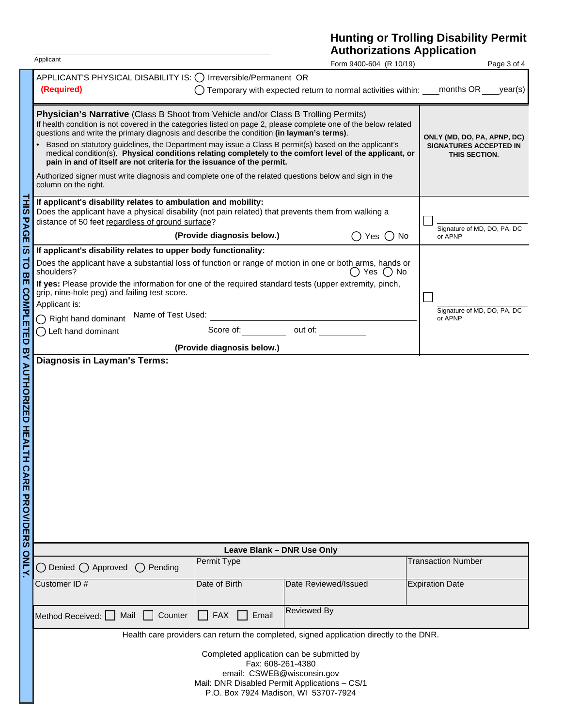## **Hunting or Trolling Disability Permit Authorizations Application**

| Form 9400-604 (R 10/19) |  |
|-------------------------|--|

|                                                                                                      | Applicant                                                                                                                                                                                                                                                                                                                                                                                                                                                                                                                                                                                                                                                                                                                         |                                                                               | Form 9400-604 (R 10/19)                                                                 | Page 3 of 4                 |  |  |  |
|------------------------------------------------------------------------------------------------------|-----------------------------------------------------------------------------------------------------------------------------------------------------------------------------------------------------------------------------------------------------------------------------------------------------------------------------------------------------------------------------------------------------------------------------------------------------------------------------------------------------------------------------------------------------------------------------------------------------------------------------------------------------------------------------------------------------------------------------------|-------------------------------------------------------------------------------|-----------------------------------------------------------------------------------------|-----------------------------|--|--|--|
|                                                                                                      | APPLICANT'S PHYSICAL DISABILITY IS: ◯ Irreversible/Permanent OR<br>(Required)                                                                                                                                                                                                                                                                                                                                                                                                                                                                                                                                                                                                                                                     |                                                                               | Temporary with expected return to normal activities within:                             | months OR<br>year(s)        |  |  |  |
|                                                                                                      | Physician's Narrative (Class B Shoot from Vehicle and/or Class B Trolling Permits)<br>If health condition is not covered in the categories listed on page 2, please complete one of the below related<br>questions and write the primary diagnosis and describe the condition (in layman's terms).<br>Based on statutory guidelines, the Department may issue a Class B permit(s) based on the applicant's<br>medical condition(s). Physical conditions relating completely to the comfort level of the applicant, or<br>pain in and of itself are not criteria for the issuance of the permit.<br>Authorized signer must write diagnosis and complete one of the related questions below and sign in the<br>column on the right. | ONLY (MD, DO, PA, APNP, DC)<br><b>SIGNATURES ACCEPTED IN</b><br>THIS SECTION. |                                                                                         |                             |  |  |  |
| <b>THIS</b><br>PAGE                                                                                  | If applicant's disability relates to ambulation and mobility:<br>Does the applicant have a physical disability (not pain related) that prevents them from walking a<br>distance of 50 feet regardless of ground surface?                                                                                                                                                                                                                                                                                                                                                                                                                                                                                                          | Signature of MD, DO, PA, DC                                                   |                                                                                         |                             |  |  |  |
|                                                                                                      |                                                                                                                                                                                                                                                                                                                                                                                                                                                                                                                                                                                                                                                                                                                                   | (Provide diagnosis below.)                                                    | Yes $()$<br>No.<br>$^{(+)}$                                                             | or APNP                     |  |  |  |
| $\overline{\boldsymbol{\omega}}$<br>$\overline{a}$<br>$\boldsymbol{\varpi}$<br>m<br><b>COMPLETED</b> | If applicant's disability relates to upper body functionality:<br>Does the applicant have a substantial loss of function or range of motion in one or both arms, hands or<br>shoulders?<br>If yes: Please provide the information for one of the required standard tests (upper extremity, pinch,<br>grip, nine-hole peg) and failing test score.<br>Applicant is:<br>Name of Test Used:                                                                                                                                                                                                                                                                                                                                          |                                                                               | () Yes () No                                                                            | Signature of MD, DO, PA, DC |  |  |  |
|                                                                                                      | $\bigcap$ Right hand dominant                                                                                                                                                                                                                                                                                                                                                                                                                                                                                                                                                                                                                                                                                                     |                                                                               |                                                                                         | or APNP                     |  |  |  |
|                                                                                                      | Left hand dominant                                                                                                                                                                                                                                                                                                                                                                                                                                                                                                                                                                                                                                                                                                                |                                                                               | Score of: but of:                                                                       |                             |  |  |  |
|                                                                                                      |                                                                                                                                                                                                                                                                                                                                                                                                                                                                                                                                                                                                                                                                                                                                   | (Provide diagnosis below.)                                                    |                                                                                         |                             |  |  |  |
| <b>BY AUTHORIZED HEALTH</b><br><b>CARE PROVIDERS</b>                                                 |                                                                                                                                                                                                                                                                                                                                                                                                                                                                                                                                                                                                                                                                                                                                   |                                                                               |                                                                                         |                             |  |  |  |
|                                                                                                      | Leave Blank - DNR Use Only                                                                                                                                                                                                                                                                                                                                                                                                                                                                                                                                                                                                                                                                                                        |                                                                               |                                                                                         |                             |  |  |  |
| ONLY.                                                                                                | Permit Type<br>Denied $\bigcap$ Approved<br>Pending<br>$($ )                                                                                                                                                                                                                                                                                                                                                                                                                                                                                                                                                                                                                                                                      |                                                                               | <b>Transaction Number</b>                                                               |                             |  |  |  |
|                                                                                                      | Customer ID#                                                                                                                                                                                                                                                                                                                                                                                                                                                                                                                                                                                                                                                                                                                      | Date of Birth                                                                 | Date Reviewed/Issued                                                                    | <b>Expiration Date</b>      |  |  |  |
|                                                                                                      | Counter<br>Mail<br>Method Received:                                                                                                                                                                                                                                                                                                                                                                                                                                                                                                                                                                                                                                                                                               | <b>FAX</b><br>Email                                                           | Reviewed By                                                                             |                             |  |  |  |
|                                                                                                      |                                                                                                                                                                                                                                                                                                                                                                                                                                                                                                                                                                                                                                                                                                                                   |                                                                               | Health care providers can return the completed, signed application directly to the DNR. |                             |  |  |  |
|                                                                                                      | Completed application can be submitted by<br>Fax: 608-261-4380<br>email: CSWEB@wisconsin.gov<br>Mail: DNR Disabled Permit Applications - CS/1<br>P.O. Box 7924 Madison, WI 53707-7924                                                                                                                                                                                                                                                                                                                                                                                                                                                                                                                                             |                                                                               |                                                                                         |                             |  |  |  |